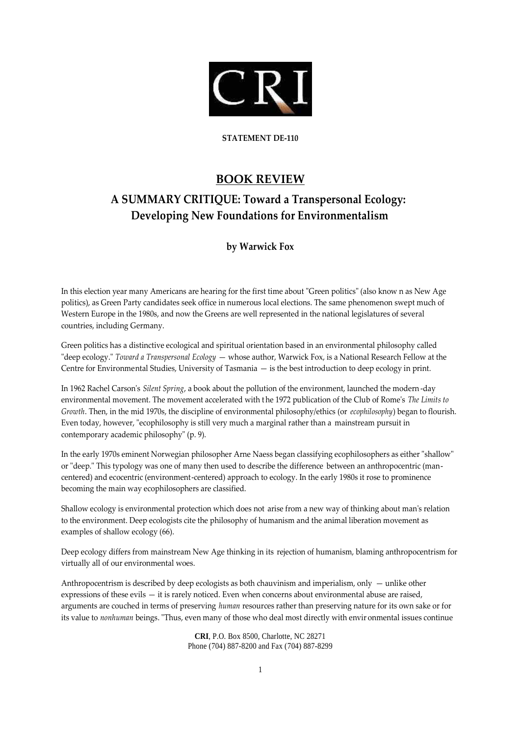

## **STATEMENT DE-110**

## **BOOK REVIEW**

## **A SUMMARY CRITIQUE: Toward a Transpersonal Ecology: Developing New Foundations for Environmentalism**

## **by Warwick Fox**

In this election year many Americans are hearing for the first time about "Green politics" (also know n as New Age politics), as Green Party candidates seek office in numerous local elections. The same phenomenon swept much of Western Europe in the 1980s, and now the Greens are well represented in the national legislatures of several countries, including Germany.

Green politics has a distinctive ecological and spiritual orientation based in an environmental philosophy called "deep ecology." *Toward a Transpersonal Ecology* — whose author, Warwick Fox, is a National Research Fellow at the Centre for Environmental Studies, University of Tasmania — is the best introduction to deep ecology in print.

In 1962 Rachel Carson's *Silent Spring*, a book about the pollution of the environment, launched the modern -day environmental movement. The movement accelerated with t he 1972 publication of the Club of Rome's *The Limits to Growth*. Then, in the mid 1970s, the discipline of environmental philosophy/ethics (or *ecophilosophy*) began to flourish. Even today, however, "ecophilosophy is still very much a marginal rather than a mainstream pursuit in contemporary academic philosophy" (p. 9).

In the early 1970s eminent Norwegian philosopher Arne Naess began classifying ecophilosophers as either "shallow" or "deep." This typology was one of many then used to describe the difference between an anthropocentric (mancentered) and ecocentric (environment-centered) approach to ecology. In the early 1980s it rose to prominence becoming the main way ecophilosophers are classified.

Shallow ecology is environmental protection which does not arise from a new way of thinking about man's relation to the environment. Deep ecologists cite the philosophy of humanism and the animal liberation movement as examples of shallow ecology (66).

Deep ecology differs from mainstream New Age thinking in its rejection of humanism, blaming anthropocentrism for virtually all of our environmental woes.

Anthropocentrism is described by deep ecologists as both chauvinism and imperialism, only — unlike other expressions of these evils — it is rarely noticed. Even when concerns about environmental abuse are raised, arguments are couched in terms of preserving *human* resources rather than preserving nature for its own sake or for its value to *nonhuman* beings. "Thus, even many of those who deal most directly with envir onmental issues continue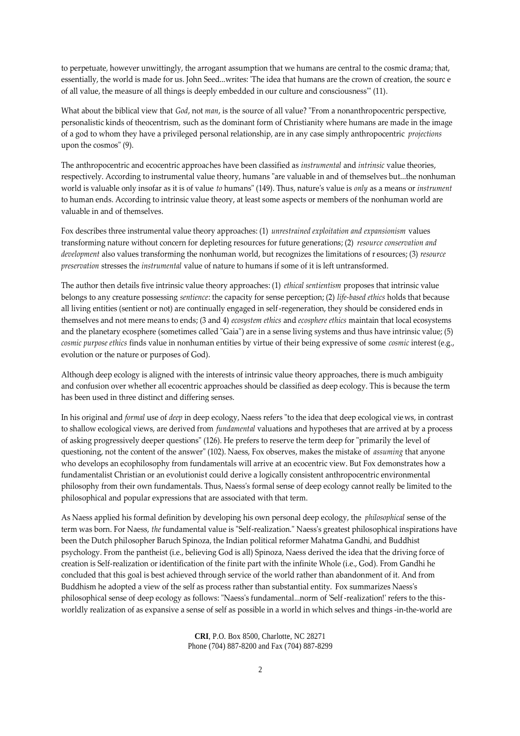to perpetuate, however unwittingly, the arrogant assumption that we humans are central to the cosmic drama; that, essentially, the world is made for us. John Seed...writes: 'The idea that humans are the crown of creation, the sourc e of all value, the measure of all things is deeply embedded in our culture and consciousness'" (11).

What about the biblical view that *God*, not *man*, is the source of all value? "From a nonanthropocentric perspective, personalistic kinds of theocentrism, such as the dominant form of Christianity where humans are made in the image of a god to whom they have a privileged personal relationship, are in any case simply anthropocentric *projections* upon the cosmos" (9).

The anthropocentric and ecocentric approaches have been classified as *instrumental* and *intrinsic* value theories, respectively. According to instrumental value theory, humans "are valuable in and of themselves but...the nonhuman world is valuable only insofar as it is of value *to* humans" (149). Thus, nature's value is *only* as a means or *instrument* to human ends. According to intrinsic value theory, at least some aspects or members of the nonhuman world are valuable in and of themselves.

Fox describes three instrumental value theory approaches: (1) *unrestrained exploitation and expansionism* values transforming nature without concern for depleting resources for future generations; (2) *resource conservation and development* also values transforming the nonhuman world, but recognizes the limitations of r esources; (3) *resource preservation* stresses the *instrumental* value of nature to humans if some of it is left untransformed.

The author then details five intrinsic value theory approaches: (1) *ethical sentientism* proposes that intrinsic value belongs to any creature possessing *sentience*: the capacity for sense perception; (2) *life-based ethics* holds that because all living entities (sentient or not) are continually engaged in self-regeneration, they should be considered ends in themselves and not mere means to ends; (3 and 4) *ecosystem ethics* and *ecosphere ethics* maintain that local ecosystems and the planetary ecosphere (sometimes called "Gaia") are in a sense living systems and thus have intrinsic value; (5) *cosmic purpose ethics* finds value in nonhuman entities by virtue of their being expressive of some *cosmic* interest (e.g., evolution or the nature or purposes of God).

Although deep ecology is aligned with the interests of intrinsic value theory approaches, there is much ambiguity and confusion over whether all ecocentric approaches should be classified as deep ecology. This is because the term has been used in three distinct and differing senses.

In his original and *formal* use of *deep* in deep ecology, Naess refers "to the idea that deep ecological vie ws, in contrast to shallow ecological views, are derived from *fundamental* valuations and hypotheses that are arrived at by a process of asking progressively deeper questions" (126). He prefers to reserve the term deep for "primarily the level of questioning, not the content of the answer" (102). Naess, Fox observes, makes the mistake of *assuming* that anyone who develops an ecophilosophy from fundamentals will arrive at an ecocentric view. But Fox demonstrates how a fundamentalist Christian or an evolutionist could derive a logically consistent anthropocentric environmental philosophy from their own fundamentals. Thus, Naess's formal sense of deep ecology cannot really be limited to the philosophical and popular expressions that are associated with that term.

As Naess applied his formal definition by developing his own personal deep ecology, the *philosophical* sense of the term was born. For Naess, *the* fundamental value is "Self-realization." Naess's greatest philosophical inspirations have been the Dutch philosopher Baruch Spinoza, the Indian political reformer Mahatma Gandhi, and Buddhist psychology. From the pantheist (i.e., believing God is all) Spinoza, Naess derived the idea that the driving force of creation is Self-realization or identification of the finite part with the infinite Whole (i.e., God). From Gandhi he concluded that this goal is best achieved through service of the world rather than abandonment of it. And from Buddhism he adopted a view of the self as process rather than substantial entity. Fox summarizes Naess's philosophical sense of deep ecology as follows: "Naess's fundamental...norm of 'Self -realization!' refers to the thisworldly realization of as expansive a sense of self as possible in a world in which selves and things -in-the-world are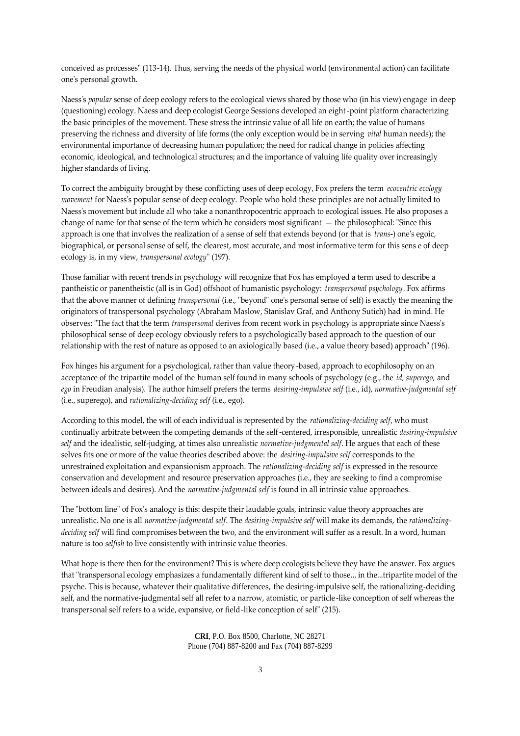conceived as processes" (113-14). Thus, serving the needs of the physical world (environmental action) can facilitate one's personal growth.

Naess's *popular* sense of deep ecology refers to the ecological views shared by those who (in his view) engage in deep (questioning) ecology. Naess and deep ecologist George Sessions developed an eight -point platform characterizing the basic principles of the movement. These stress the intrinsic value of all life on earth; the value of humans preserving the richness and diversity of life forms (the only exception would be in serving *vital* human needs); the environmental importance of decreasing human population; the need for radical change in policies affecting economic, ideological, and technological structures; and the importance of valuing life quality over increasingly higher standards of living.

To correct the ambiguity brought by these conflicting uses of deep ecology, Fox prefers the term *ecocentric ecology movement* for Naess's popular sense of deep ecology. People who hold these principles are not actually limited to Naess's movement but include all who take a nonanthropocentric approach to ecological issues. He also proposes a change of name for that sense of the term which he considers most significant — the philosophical: "Since this approach is one that involves the realization of a sense of self that extends beyond (or that is *trans***-**) one's egoic, biographical, or personal sense of self, the clearest, most accurate, and most informative term for this sens e of deep ecology is, in my view, *transpersonal ecology*" (197).

Those familiar with recent trends in psychology will recognize that Fox has employed a term used to describe a pantheistic or panentheistic (all is in God) offshoot of humanistic psychology: *transpersonal psychology*. Fox affirms that the above manner of defining *transpersonal* (i.e., "beyond" one's personal sense of self) is exactly the meaning the originators of transpersonal psychology (Abraham Maslow, Stanislav Graf, and Anthony Sutich) had in mind. He observes: "The fact that the term *transpersonal* derives from recent work in psychology is appropriate since Naess's philosophical sense of deep ecology obviously refers to a psychologically based approach to the question of our relationship with the rest of nature as opposed to an axiologically based (i.e., a value theory based) approach" (196).

Fox hinges his argument for a psychological, rather than value theory -based, approach to ecophilosophy on an acceptance of the tripartite model of the human self found in many schools of psychology (e.g., the *id, superego,* and *ego* in Freudian analysis). The author himself prefers the terms *desiring-impulsive self* (i.e., id), *normative-judgmental self* (i.e., superego), and *rationalizing-deciding self* (i.e., ego).

According to this model, the will of each individual is represented by the *rationalizing-deciding self*, who must continually arbitrate between the competing demands of the self-centered, irresponsible, unrealistic *desiring-impulsive self* and the idealistic, self-judging, at times also unrealistic *normative-judgmental self*. He argues that each of these selves fits one or more of the value theories described above: the *desiring-impulsive self* corresponds to the unrestrained exploitation and expansionism approach. The *rationalizing-deciding self* is expressed in the resource conservation and development and resource preservation approaches (i.e., they are seeking to find a compromise between ideals and desires). And the *normative-judgmental self* is found in all intrinsic value approaches.

The "bottom line" of Fox's analogy is this: despite their laudable goals, intrinsic value theory approaches are unrealistic. No one is all *normative-judgmental self*. The *desiring-impulsive self* will make its demands, the *rationalizingdeciding self* will find compromises between the two, and the environment will suffer as a result. In a word, human nature is too *selfish* to live consistently with intrinsic value theories.

What hope is there then for the environment? This is where deep ecologists believe they have the answer. Fox argues that "transpersonal ecology emphasizes a fundamentally different kind of self to those... in the...tripartite model of the psyche. This is because, whatever their qualitative differences, the desiring-impulsive self, the rationalizing-deciding self, and the normative-judgmental self all refer to a narrow, atomistic, or particle -like conception of self whereas the transpersonal self refers to a wide, expansive, or field-like conception of self" (215).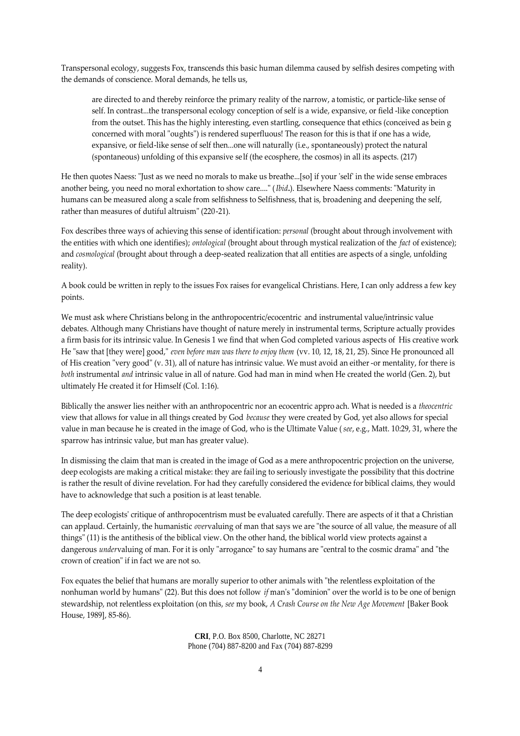Transpersonal ecology, suggests Fox, transcends this basic human dilemma caused by selfish desires competing with the demands of conscience. Moral demands, he tells us,

are directed to and thereby reinforce the primary reality of the narrow, a tomistic, or particle-like sense of self. In contrast...the transpersonal ecology conception of self is a wide, expansive, or field -like conception from the outset. This has the highly interesting, even startling, consequence that ethics (conceived as bein g concerned with moral "oughts") is rendered superfluous! The reason for this is that if one has a wide, expansive, or field-like sense of self then...one will naturally (i.e., spontaneously) protect the natural (spontaneous) unfolding of this expansive self (the ecosphere, the cosmos) in all its aspects. (217)

He then quotes Naess: "Just as we need no morals to make us breathe...[so] if your 'self' in the wide sense embraces another being, you need no moral exhortation to show care...." (*Ibid***.**). Elsewhere Naess comments: "Maturity in humans can be measured along a scale from selfishness to Selfishness, that is, broadening and deepening the self, rather than measures of dutiful altruism" (220-21).

Fox describes three ways of achieving this sense of identification: *personal* (brought about through involvement with the entities with which one identifies); *ontological* (brought about through mystical realization of the *fact* of existence); and *cosmological* (brought about through a deep-seated realization that all entities are aspects of a single, unfolding reality).

A book could be written in reply to the issues Fox raises for evangelical Christians. Here, I can only address a few key points.

We must ask where Christians belong in the anthropocentric/ecocentric and instrumental value/intrinsic value debates. Although many Christians have thought of nature merely in instrumental terms, Scripture actually provides a firm basis for its intrinsic value. In Genesis 1 we find that when God completed various aspects of His creative work He "saw that [they were] good," *even before man was there to enjoy them* (vv. 10, 12, 18, 21, 25). Since He pronounced all of His creation "very good" (v. 31), all of nature has intrinsic value. We must avoid an either -or mentality, for there is *both* instrumental *and* intrinsic value in all of nature. God had man in mind when He created the world (Gen. 2), but ultimately He created it for Himself (Col. 1:16).

Biblically the answer lies neither with an anthropocentric nor an ecocentric appro ach. What is needed is a *theocentric* view that allows for value in all things created by God *because* they were created by God, yet also allows for special value in man because he is created in the image of God, who is the Ultimate Value ( *see*, e.g., Matt. 10:29, 31, where the sparrow has intrinsic value, but man has greater value).

In dismissing the claim that man is created in the image of God as a mere anthropocentric projection on the universe, deep ecologists are making a critical mistake: they are failing to seriously investigate the possibility that this doctrine is rather the result of divine revelation. For had they carefully considered the evidence for biblical claims, they would have to acknowledge that such a position is at least tenable.

The deep ecologists' critique of anthropocentrism must be evaluated carefully. There are aspects of it that a Christian can applaud. Certainly, the humanistic *over*valuing of man that says we are "the source of all value, the measure of all things" (11) is the antithesis of the biblical view. On the other hand, the biblical world view protects against a dangerous *under*valuing of man. For it is only "arrogance" to say humans are "central to the cosmic drama" and "the crown of creation" if in fact we are not so.

Fox equates the belief that humans are morally superior to other animals with "the relentless exploitation of the nonhuman world by humans" (22). But this does not follow *if* man's "dominion" over the world is to be one of benign stewardship, not relentless exploitation (on this, *see* my book, *A Crash Course on the New Age Movement* [Baker Book House, 1989], 85-86).